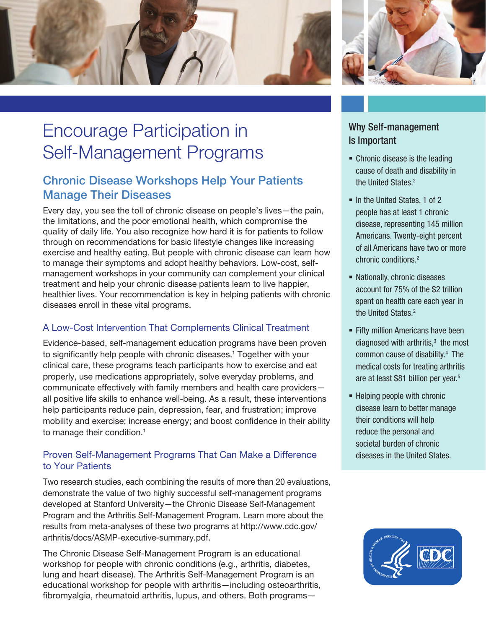



# Encourage Participation in Self-Management Programs

## Chronic Disease Workshops Help Your Patients Manage Their Diseases

Every day, you see the toll of chronic disease on people's lives—the pain, the limitations, and the poor emotional health, which compromise the quality of daily life. You also recognize how hard it is for patients to follow through on recommendations for basic lifestyle changes like increasing exercise and healthy eating. But people with chronic disease can learn how to manage their symptoms and adopt healthy behaviors. Low-cost, selfmanagement workshops in your community can complement your clinical treatment and help your chronic disease patients learn to live happier, healthier lives. Your recommendation is key in helping patients with chronic diseases enroll in these vital programs.

### A Low-Cost Intervention That Complements Clinical Treatment

Evidence-based, self-management education programs have been proven to significantly help people with chronic diseases.<sup>1</sup> Together with your clinical care, these programs teach participants how to exercise and eat properly, use medications appropriately, solve everyday problems, and communicate effectively with family members and health care providers all positive life skills to enhance well-being. As a result, these interventions help participants reduce pain, depression, fear, and frustration; improve mobility and exercise; increase energy; and boost confidence in their ability to manage their condition.<sup>1</sup>

#### Proven Self-Management Programs That Can Make a Difference to Your Patients

Two research studies, each combining the results of more than 20 evaluations, demonstrate the value of two highly successful self-management programs developed at Stanford University—the Chronic Disease Self-Management Program and the Arthritis Self-Management Program. Learn more about the results from meta-analyses of these two programs at http://www.cdc.gov/ arthritis/docs/ASMP-executive-summary.pdf.

The Chronic Disease Self-Management Program is an educational workshop for people with chronic conditions (e.g., arthritis, diabetes, lung and heart disease). The Arthritis Self-Management Program is an educational workshop for people with arthritis—including osteoarthritis, fibromyalgia, rheumatoid arthritis, lupus, and others. Both programs—

## Why Self-management Is Important

- Chronic disease is the leading cause of death and disability in the United States.<sup>2</sup>
- In the United States, 1 of 2 people has at least 1 chronic disease, representing 145 million Americans. Twenty-eight percent of all Americans have two or more chronic conditions.2
- Nationally, chronic diseases account for 75% of the \$2 trillion spent on health care each year in the United States.<sup>2</sup>
- **Fifty million Americans have been** diagnosed with arthritis, $3$  the most common cause of disability.<sup>4</sup> The medical costs for treating arthritis are at least \$81 billion per year.<sup>5</sup>
- **-** Helping people with chronic disease learn to better manage their conditions will help reduce the personal and societal burden of chronic diseases in the United States.